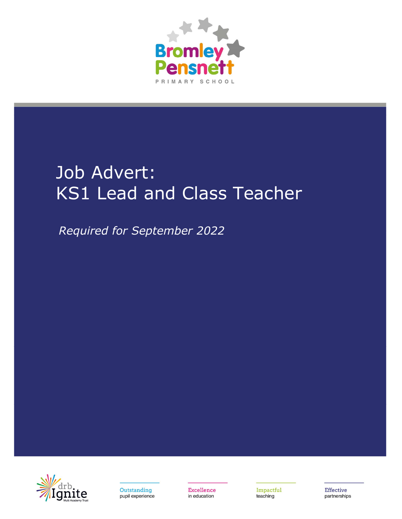

# Job Advert: KS1 Lead and Class Teacher

Required for September 2022



Outstanding pupil experience Excellence in education

Impactful teaching

**Effective** partnerships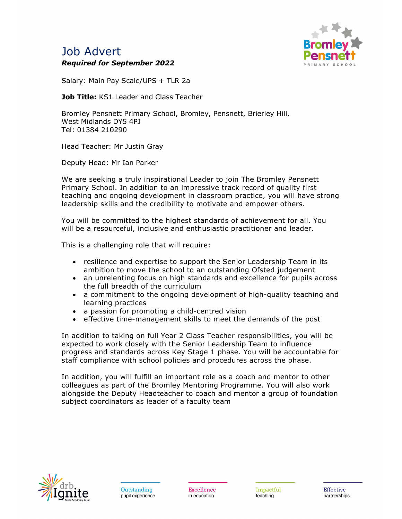# Job Advert Required for September 2022



Salary: Main Pay Scale/UPS + TLR 2a

Job Title: KS1 Leader and Class Teacher

Bromley Pensnett Primary School, Bromley, Pensnett, Brierley Hill, West Midlands DY5 4PJ Tel: 01384 210290

Head Teacher: Mr Justin Gray

Deputy Head: Mr Ian Parker

We are seeking a truly inspirational Leader to join The Bromley Pensnett Primary School. In addition to an impressive track record of quality first teaching and ongoing development in classroom practice, you will have strong leadership skills and the credibility to motivate and empower others.

You will be committed to the highest standards of achievement for all. You will be a resourceful, inclusive and enthusiastic practitioner and leader.

This is a challenging role that will require:

- resilience and expertise to support the Senior Leadership Team in its ambition to move the school to an outstanding Ofsted judgement
- an unrelenting focus on high standards and excellence for pupils across the full breadth of the curriculum
- a commitment to the ongoing development of high-quality teaching and learning practices
- a passion for promoting a child-centred vision
- effective time-management skills to meet the demands of the post

In addition to taking on full Year 2 Class Teacher responsibilities, you will be expected to work closely with the Senior Leadership Team to influence progress and standards across Key Stage 1 phase. You will be accountable for staff compliance with school policies and procedures across the phase.

In addition, you will fulfill an important role as a coach and mentor to other colleagues as part of the Bromley Mentoring Programme. You will also work alongside the Deputy Headteacher to coach and mentor a group of foundation subject coordinators as leader of a faculty team